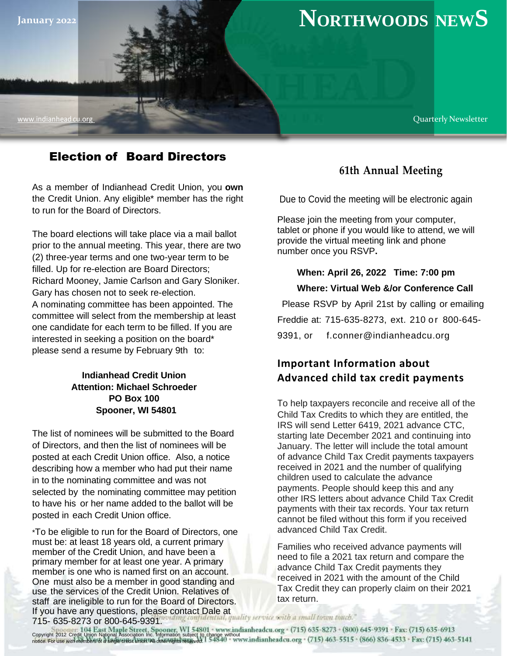

# Election of Board Directors

As a member of Indianhead Credit Union, you **own** the Credit Union. Any eligible\* member has the right to run for the Board of Directors.

The board elections will take place via a mail ballot prior to the annual meeting. This year, there are two (2) three-year terms and one two-year term to be filled. Up for re-election are Board Directors; Richard Mooney, Jamie Carlson and Gary Sloniker. Gary has chosen not to seek re-election. A nominating committee has been appointed. The committee will select from the membership at least one candidate for each term to be filled. If you are interested in seeking a position on the board\* please send a resume by February 9th to:

### **Indianhead Credit Union Attention: Michael Schroeder PO Box 100 Spooner, WI 54801**

The list of nominees will be submitted to the Board of Directors, and then the list of nominees will be posted at each Credit Union office. Also, a notice describing how a member who had put their name in to the nominating committee and was not selected by the nominating committee may petition to have his or her name added to the ballot will be posted in each Credit Union office.

\*To be eligible to run for the Board of Directors, one must be: at least 18 years old, a current primary member of the Credit Union, and have been a primary member for at least one year. A primary member is one who is named first on an account. One must also be a member in good standing and use the services of the Credit Union. Relatives of staff are ineligible to run for the Board of Directors. If you have any questions, please contact Dale at 715- 635-8273 or 800-645-9391.

## **61th Annual Meeting**

Due to Covid the meeting will be electronic again

Please join the meeting from your computer, tablet or phone if you would like to attend, we will provide the virtual meeting link and phone number once you RSVP**.** 

### **When: April 26, 2022 Time: 7:00 pm Where: Virtual Web &/or Conference Call**

Please RSVP by April 21st by calling or emailing Freddie at: 715-635-8273, ext. 210 or 800-645-9391, or [f.conner@indianheadcu.org](mailto:f.conner@indianheadcu.org)

# **Important Information about Advanced child tax credit payments**

To help taxpayers reconcile and receive all of the Child Tax Credits to which they are entitled, the IRS will send Letter 6419, 2021 advance CTC, starting late December 2021 and continuing into January. The letter will include the total amount of advance Child Tax Credit payments taxpayers received in 2021 and the number of qualifying children used to calculate the advance payments. People should keep this and any other IRS letters about advance Child Tax Credit payments with their tax records. Your tax return cannot be filed without this form if you received advanced Child Tax Credit.

Families who received advance payments will need to file a 2021 tax return and compare the advance Child Tax Credit payments they received in 2021 with the amount of the Child Tax Credit they can properly claim on their 2021 tax return.

quality service with a small town touch."

Copyright 2012 Credit Union National Association Inc. Information subject to change without notice. For use wi*th members* of a single credit union. All other rights reserved.